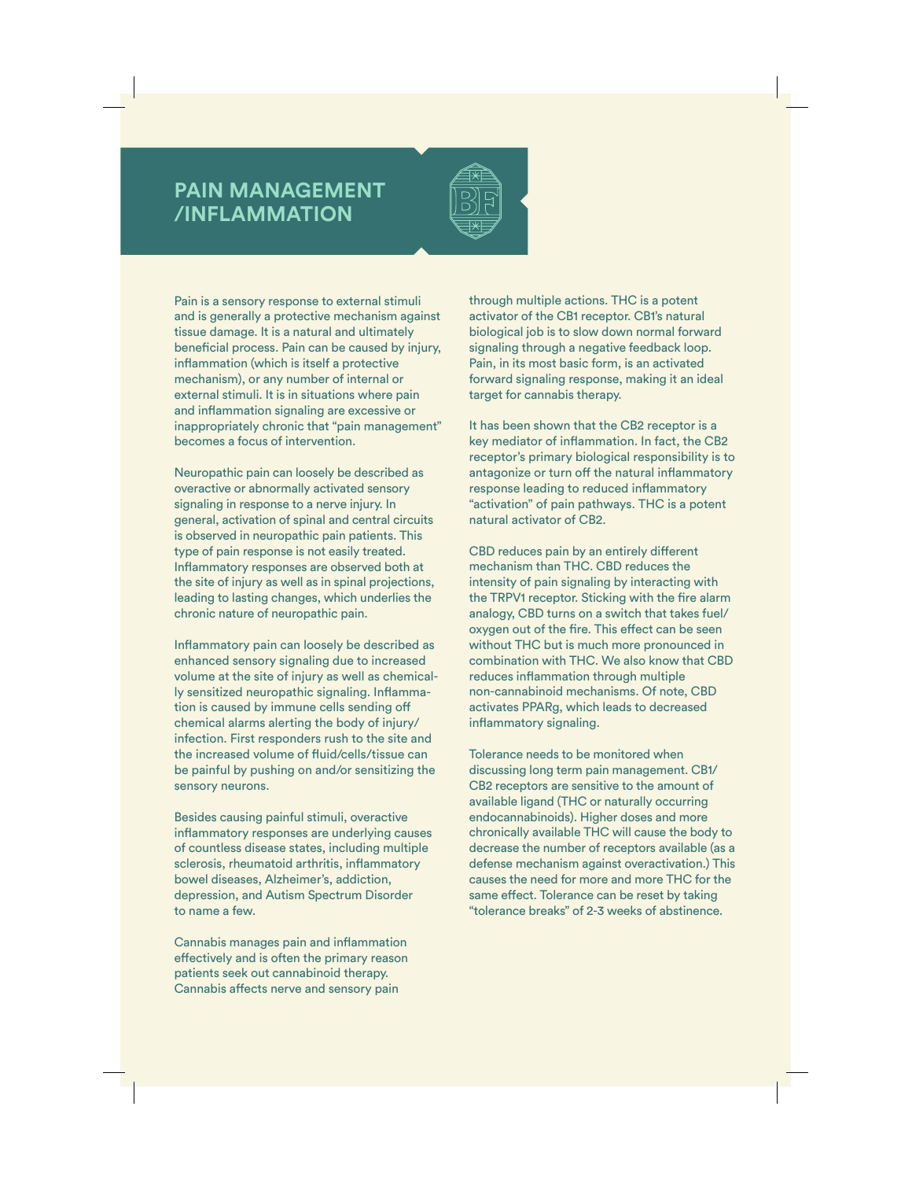## **PAIN MANAGEMENT /INFLAMMATION**



Pain is a sensory response to external stimuli and is generally a protective mechanism against tissue damage. It is a natural and ultimately beneficial process. Pain can be caused by injury, inflammation (which is itself a protective mechanism), or any number of internal or external stimuli. It is in situations where pain and inflammation signaling are excessive or inappropriately chronic that "pain management" becomes a focus of intervention.

Neuropathic pain can loosely be described as overactive or abnormally activated sensory signaling in response to a nerve injury. In general, activation of spinal and central circuits is observed in neuropathic pain patients. This type of pain response is not easily treated. Inflammatory responses are observed both at the site of injury as well as in spinal projections, leading to lasting changes, which underlies the chronic nature of neuropathic pain.

Inflammatory pain can loosely be described as enhanced sensory signaling due to increased volume at the site of injury as well as chemically sensitized neuropathic signaling. Inflammation is caused by immune cells sending off chemical alarms alerting the body of injury/ infection. First responders rush to the site and the increased volume of fluid/cells/tissue can be painful by pushing on and/or sensitizing the sensory neurons.

Besides causing painful stimuli, overactive inflammatory responses are underlying causes of countless disease states, including multiple sclerosis, rheumatoid arthritis, inflammatory bowel diseases, Alzheimer's, addiction, depression, and Autism Spectrum Disorder to name a few.

Cannabis manages pain and inflammation effectively and is often the primary reason patients seek out cannabinoid therapy. Cannabis affects nerve and sensory pain

through multiple actions. THC is a potent activator of the CB1 receptor. CB1's natural biological job is to slow down normal forward signaling through a negative feedback loop. Pain, in its most basic form, is an activated forward signaling response, making it an ideal target for cannabis therapy.

It has been shown that the CB2 receptor is a key mediator of inflammation. In fact, the CB2 receptor's primary biological responsibility is to antagonize or turn off the natural inflammatory response leading to reduced inflammatory "activation" of pain pathways. THC is a potent natural activator of CB2.

CBD reduces pain by an entirely different mechanism than THC. CBD reduces the intensity of pain signaling by interacting with the TRPV1 receptor. Sticking with the fire alarm analogy, CBD turns on a switch that takes fuel/ oxygen out of the fire. This effect can be seen without THC but is much more pronounced in combination with THC. We also know that CBD reduces inflammation through multiple non-cannabinoid mechanisms. Of note, CBD activates PPARg, which leads to decreased inflammatory signaling.

Tolerance needs to be monitored when discussing long term pain management. CB1/ CB2 receptors are sensitive to the amount of available ligand (THC or naturally occurring endocannabinoids). Higher doses and more chronically available THC will cause the body to decrease the number of receptors available (as a defense mechanism against overactivation.) This causes the need for more and more THC for the same effect. Tolerance can be reset by taking "tolerance breaks" of 2-3 weeks of abstinence.